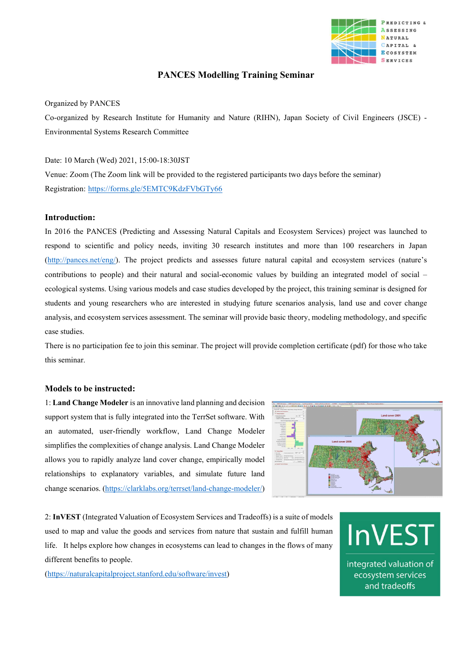

# PANCES Modelling Training Seminar

## Organized by PANCES

Co-organized by Research Institute for Humanity and Nature (RIHN), Japan Society of Civil Engineers (JSCE) - Environmental Systems Research Committee

## Date: 10 March (Wed) 2021, 15:00-18:30JST

Venue: Zoom (The Zoom link will be provided to the registered participants two days before the seminar) Registration: https://forms.gle/5EMTC9KdzFVbGTy66

### Introduction:

In 2016 the PANCES (Predicting and Assessing Natural Capitals and Ecosystem Services) project was launched to respond to scientific and policy needs, inviting 30 research institutes and more than 100 researchers in Japan (http://pances.net/eng/). The project predicts and assesses future natural capital and ecosystem services (nature's contributions to people) and their natural and social-economic values by building an integrated model of social – ecological systems. Using various models and case studies developed by the project, this training seminar is designed for students and young researchers who are interested in studying future scenarios analysis, land use and cover change analysis, and ecosystem services assessment. The seminar will provide basic theory, modeling methodology, and specific case studies.

There is no participation fee to join this seminar. The project will provide completion certificate (pdf) for those who take this seminar.

### Models to be instructed:

1: Land Change Modeler is an innovative land planning and decision support system that is fully integrated into the TerrSet software. With an automated, user-friendly workflow, Land Change Modeler simplifies the complexities of change analysis. Land Change Modeler allows you to rapidly analyze land cover change, empirically model relationships to explanatory variables, and simulate future land change scenarios. (https://clarklabs.org/terrset/land-change-modeler/)



2: InVEST (Integrated Valuation of Ecosystem Services and Tradeoffs) is a suite of models used to map and value the goods and services from nature that sustain and fulfill human life. It helps explore how changes in ecosystems can lead to changes in the flows of many different benefits to people.

(https://naturalcapitalproject.stanford.edu/software/invest)

**InVEST** integrated valuation of ecosystem services

and tradeoffs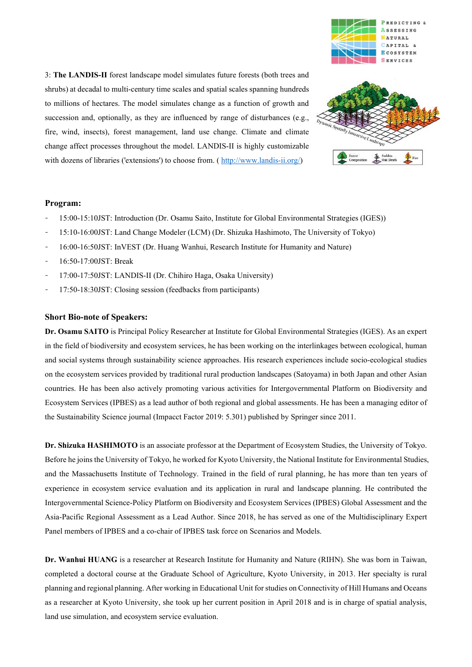

3: The LANDIS-II forest landscape model simulates future forests (both trees and shrubs) at decadal to multi-century time scales and spatial scales spanning hundreds to millions of hectares. The model simulates change as a function of growth and succession and, optionally, as they are influenced by range of disturbances (e.g., fire, wind, insects), forest management, land use change. Climate and climate change affect processes throughout the model. LANDIS-II is highly customizable with dozens of libraries ('extensions') to choose from. ( http://www.landis-ii.org/)



# Program:

- 15:00-15:10JST: Introduction (Dr. Osamu Saito, Institute for Global Environmental Strategies (IGES))
- 15:10-16:00JST: Land Change Modeler (LCM) (Dr. Shizuka Hashimoto, The University of Tokyo)
- 16:00-16:50JST: InVEST (Dr. Huang Wanhui, Research Institute for Humanity and Nature)
- 16:50-17:00JST: Break
- 17:00-17:50JST: LANDIS-II (Dr. Chihiro Haga, Osaka University)
- 17:50-18:30JST: Closing session (feedbacks from participants)

# Short Bio-note of Speakers:

Dr. Osamu SAITO is Principal Policy Researcher at Institute for Global Environmental Strategies (IGES). As an expert in the field of biodiversity and ecosystem services, he has been working on the interlinkages between ecological, human and social systems through sustainability science approaches. His research experiences include socio-ecological studies on the ecosystem services provided by traditional rural production landscapes (Satoyama) in both Japan and other Asian countries. He has been also actively promoting various activities for Intergovernmental Platform on Biodiversity and Ecosystem Services (IPBES) as a lead author of both regional and global assessments. He has been a managing editor of the Sustainability Science journal (Impacct Factor 2019: 5.301) published by Springer since 2011.

Dr. Shizuka HASHIMOTO is an associate professor at the Department of Ecosystem Studies, the University of Tokyo. Before he joins the University of Tokyo, he worked for Kyoto University, the National Institute for Environmental Studies, and the Massachusetts Institute of Technology. Trained in the field of rural planning, he has more than ten years of experience in ecosystem service evaluation and its application in rural and landscape planning. He contributed the Intergovernmental Science-Policy Platform on Biodiversity and Ecosystem Services (IPBES) Global Assessment and the Asia-Pacific Regional Assessment as a Lead Author. Since 2018, he has served as one of the Multidisciplinary Expert Panel members of IPBES and a co-chair of IPBES task force on Scenarios and Models.

Dr. Wanhui HUANG is a researcher at Research Institute for Humanity and Nature (RIHN). She was born in Taiwan, completed a doctoral course at the Graduate School of Agriculture, Kyoto University, in 2013. Her specialty is rural planning and regional planning. After working in Educational Unit for studies on Connectivity of Hill Humans and Oceans as a researcher at Kyoto University, she took up her current position in April 2018 and is in charge of spatial analysis, land use simulation, and ecosystem service evaluation.